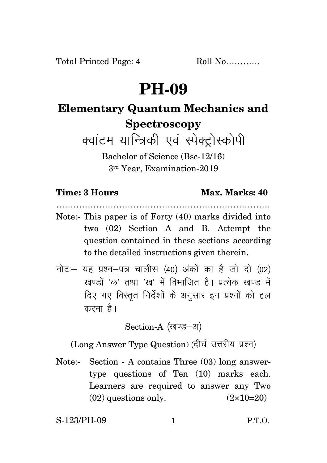## **PH-09**

## **Elementary Quantum Mechanics and Spectroscopy**

क्वाटम यान्त्रिकी एवं स्पेक्ट्रोस्कोपी

Bachelor of Science (Bsc-12/16) 3rd Year, Examination-2019

## **Time: 3 Hours Max. Marks: 40**

…………………………………………………………………

- Note:- This paper is of Forty (40) marks divided into two (02) Section A and B. Attempt the question contained in these sections according to the detailed instructions given therein.
- $\vec{\eta}$ नोटः यह प्रश्न-पत्र चालीस (40) अंकों का है जो दो (02) रवण्डों 'क' तथा 'रव' में विभाजित है। प्रत्येक रवण्ड में दिए गए विस्तृत निर्देशों के अनुसार इन प्रश्नों को हल करना $\hat{g}$ ।

Section-A (खण्ड-अ)

(Long Answer Type Question) (दीर्घ उत्तरीय प्रश्न)

Note:- Section - A contains Three (03) long answertype questions of Ten (10) marks each. Learners are required to answer any Two  $(02)$  questions only.  $(2 \times 10=20)$ 

S-123/PH-09 1 P.T.O.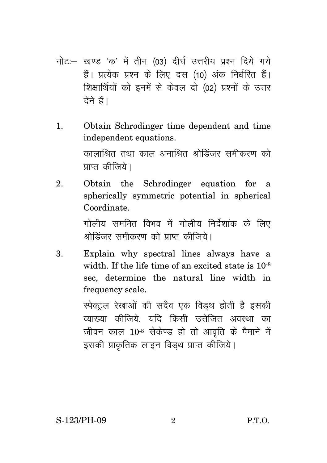- नोट:- खण्ड 'क' में तीन (03) दीर्घ उत्तरीय प्रश्न दिये गये हैं। प्रत्येक प्रश्न के लिए दस (10) अंक निर्धरित हैं। शिक्षार्थियों को इनमें से केवल दो (02) प्रश्नों के उत्तर टेने हैं।
- Obtain Schrodinger time dependent and time  $\mathbf{1}$ . independent equations. कालाश्रित तथा काल अनाश्रित श्रोडिंजर समीकरण को प्राप्त कीजिये।
- $\mathfrak{D}$ Obtain the Schrodinger equation for a spherically symmetric potential in spherical Coordinate.

गोलीय सममित विभव में गोलीय निर्देशांक के लिए श्रोडिंजर समीकरण को पाप्त कीजिये।

Explain why spectral lines always have a 3. width. If the life time of an excited state is  $10^{-8}$ sec, determine the natural line width in frequency scale.

> स्पेक्ट्रल रेखाओं की सदैव एक विड़थ होती है इसकी व्याख्या कीजिये यदि किसी उत्तेजित अवस्था का जीवन काल 10<sup>-8</sup> सेकेण्ड हो तो आवृति के पैमाने में इसकी प्राकृतिक लाइन विडथ प्राप्त कीजिये।

 $P.T.O.$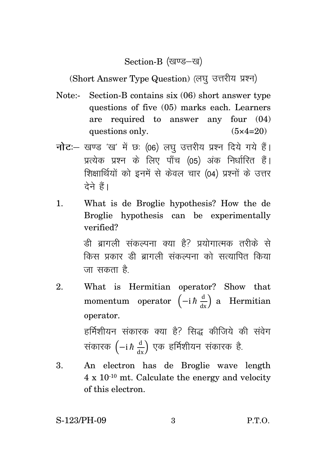Section-B (खण्ड-ख)

(Short Answer Type Question) (लघु उत्तरीय प्रश्न)

- Note:- Section-B contains six (06) short answer type questions of five (05) marks each. Learners are required to answer any four (04) questions only.  $(5 \times 4=20)$
- **नोट**: खण्ड 'ख' में छः (06) लघु उत्तरीय प्रश्न दिये गये हैं। प्रत्येक प्रश्न के लिए पाँच (05) अंक निर्धारित हैं। शिक्षार्थियों को इनमें से केवल चार (04) प्रश्नों के उत्तर टेने हैं।
- 1. What is de Broglie hypothesis? How the de Broglie hypothesis can be experimentally verified?

त्वी बागली संकल्पना क्या है? प्रयोगात्मक तरीके से किस प्रकार ही बागली संकल्पना को सत्यापित किया जा सकता ह<del>ै</del>

- 2. What is Hermitian operator? Show that momentum operator  $\left(-i\hbar \frac{d}{dx}\right)$  a Hermitian operator. हर्मिशीयन संकारक क्या है? सिद्ध कीजिये की संवेग संकारक  $\left(-\mathrm{i}\, \hbar\,\frac{\mathrm{d}}{\mathrm{dx}}\right)$  एक हर्मिशीयन संकारक है.
- 3. An electron has de Broglie wave length 4 x 10-10 mt. Calculate the energy and velocity of this electron.

S-123/PH-09 3 P.T.O.